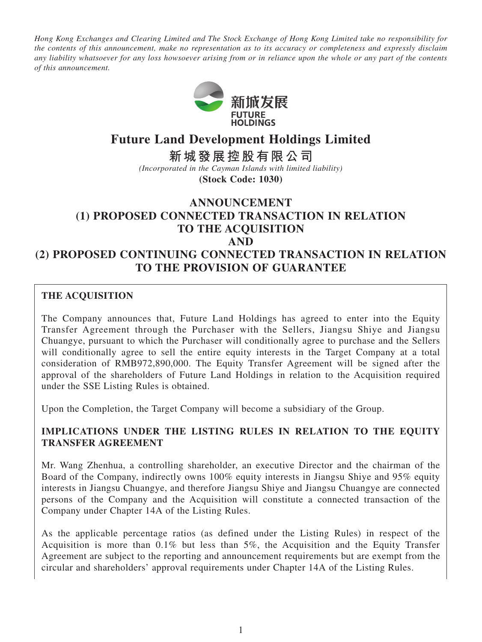*Hong Kong Exchanges and Clearing Limited and The Stock Exchange of Hong Kong Limited take no responsibility for the contents of this announcement, make no representation as to its accuracy or completeness and expressly disclaim any liability whatsoever for any loss howsoever arising from or in reliance upon the whole or any part of the contents of this announcement.*



# **Future Land Development Holdings Limited**

**新城發展控股有限公司**

*(Incorporated in the Cayman Islands with limited liability)*

**(Stock Code: 1030)**

# **ANNOUNCEMENT (1) PROPOSED CONNECTED TRANSACTION IN RELATION TO THE ACQUISITION AND (2) PROPOSED CONTINUING CONNECTED TRANSACTION IN RELATION TO THE PROVISION OF GUARANTEE**

# **THE acquisition**

The Company announces that, Future Land Holdings has agreed to enter into the Equity Transfer Agreement through the Purchaser with the Sellers, Jiangsu Shiye and Jiangsu Chuangye, pursuant to which the Purchaser will conditionally agree to purchase and the Sellers will conditionally agree to sell the entire equity interests in the Target Company at a total consideration of RMB972,890,000. The Equity Transfer Agreement will be signed after the approval of the shareholders of Future Land Holdings in relation to the Acquisition required under the SSE Listing Rules is obtained.

Upon the Completion, the Target Company will become a subsidiary of the Group.

# **IMPLICATIONS UNDER THE LISTING RULES IN RELATION TO THE EQUITY TRANSFER AGREEMENT**

Mr. Wang Zhenhua, a controlling shareholder, an executive Director and the chairman of the Board of the Company, indirectly owns 100% equity interests in Jiangsu Shiye and 95% equity interests in Jiangsu Chuangye, and therefore Jiangsu Shiye and Jiangsu Chuangye are connected persons of the Company and the Acquisition will constitute a connected transaction of the Company under Chapter 14A of the Listing Rules.

As the applicable percentage ratios (as defined under the Listing Rules) in respect of the Acquisition is more than 0.1% but less than 5%, the Acquisition and the Equity Transfer Agreement are subject to the reporting and announcement requirements but are exempt from the circular and shareholders' approval requirements under Chapter 14A of the Listing Rules.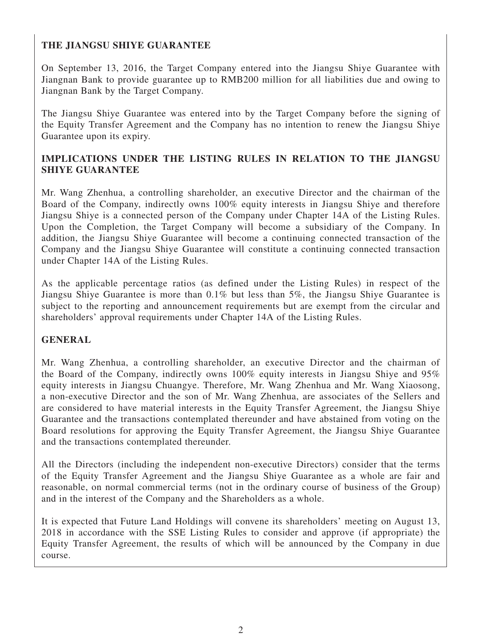# **THE JIANGSU SHIYE GUARANTEE**

On September 13, 2016, the Target Company entered into the Jiangsu Shiye Guarantee with Jiangnan Bank to provide guarantee up to RMB200 million for all liabilities due and owing to Jiangnan Bank by the Target Company.

The Jiangsu Shiye Guarantee was entered into by the Target Company before the signing of the Equity Transfer Agreement and the Company has no intention to renew the Jiangsu Shiye Guarantee upon its expiry.

# **IMPLICATIONS UNDER THE LISTING RULES IN RELATION TO THE JIANGSU SHIYE GUARANTEE**

Mr. Wang Zhenhua, a controlling shareholder, an executive Director and the chairman of the Board of the Company, indirectly owns 100% equity interests in Jiangsu Shiye and therefore Jiangsu Shiye is a connected person of the Company under Chapter 14A of the Listing Rules. Upon the Completion, the Target Company will become a subsidiary of the Company. In addition, the Jiangsu Shiye Guarantee will become a continuing connected transaction of the Company and the Jiangsu Shiye Guarantee will constitute a continuing connected transaction under Chapter 14A of the Listing Rules.

As the applicable percentage ratios (as defined under the Listing Rules) in respect of the Jiangsu Shiye Guarantee is more than 0.1% but less than 5%, the Jiangsu Shiye Guarantee is subject to the reporting and announcement requirements but are exempt from the circular and shareholders' approval requirements under Chapter 14A of the Listing Rules.

# **GENERAL**

Mr. Wang Zhenhua, a controlling shareholder, an executive Director and the chairman of the Board of the Company, indirectly owns 100% equity interests in Jiangsu Shiye and 95% equity interests in Jiangsu Chuangye. Therefore, Mr. Wang Zhenhua and Mr. Wang Xiaosong, a non-executive Director and the son of Mr. Wang Zhenhua, are associates of the Sellers and are considered to have material interests in the Equity Transfer Agreement, the Jiangsu Shiye Guarantee and the transactions contemplated thereunder and have abstained from voting on the Board resolutions for approving the Equity Transfer Agreement, the Jiangsu Shiye Guarantee and the transactions contemplated thereunder.

All the Directors (including the independent non-executive Directors) consider that the terms of the Equity Transfer Agreement and the Jiangsu Shiye Guarantee as a whole are fair and reasonable, on normal commercial terms (not in the ordinary course of business of the Group) and in the interest of the Company and the Shareholders as a whole.

It is expected that Future Land Holdings will convene its shareholders' meeting on August 13, 2018 in accordance with the SSE Listing Rules to consider and approve (if appropriate) the Equity Transfer Agreement, the results of which will be announced by the Company in due course.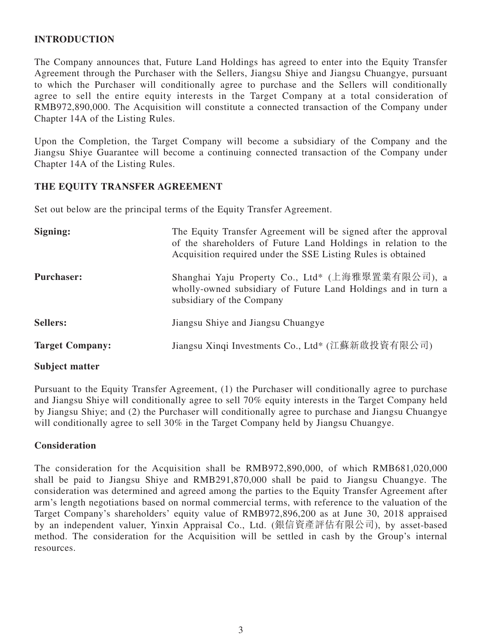# **INTRODUCTION**

The Company announces that, Future Land Holdings has agreed to enter into the Equity Transfer Agreement through the Purchaser with the Sellers, Jiangsu Shiye and Jiangsu Chuangye, pursuant to which the Purchaser will conditionally agree to purchase and the Sellers will conditionally agree to sell the entire equity interests in the Target Company at a total consideration of RMB972,890,000. The Acquisition will constitute a connected transaction of the Company under Chapter 14A of the Listing Rules.

Upon the Completion, the Target Company will become a subsidiary of the Company and the Jiangsu Shiye Guarantee will become a continuing connected transaction of the Company under Chapter 14A of the Listing Rules.

#### **THE EQUITY TRANSFER AGREEMENT**

Set out below are the principal terms of the Equity Transfer Agreement.

| Signing:               | The Equity Transfer Agreement will be signed after the approval<br>of the shareholders of Future Land Holdings in relation to the<br>Acquisition required under the SSE Listing Rules is obtained |
|------------------------|---------------------------------------------------------------------------------------------------------------------------------------------------------------------------------------------------|
| <b>Purchaser:</b>      | Shanghai Yaju Property Co., Ltd* (上海雅聚置業有限公司), a<br>wholly-owned subsidiary of Future Land Holdings and in turn a<br>subsidiary of the Company                                                    |
| <b>Sellers:</b>        | Jiangsu Shiye and Jiangsu Chuangye                                                                                                                                                                |
| <b>Target Company:</b> | Jiangsu Xinqi Investments Co., Ltd* (江蘇新啟投資有限公司)                                                                                                                                                  |

#### **Subject matter**

Pursuant to the Equity Transfer Agreement, (1) the Purchaser will conditionally agree to purchase and Jiangsu Shiye will conditionally agree to sell 70% equity interests in the Target Company held by Jiangsu Shiye; and (2) the Purchaser will conditionally agree to purchase and Jiangsu Chuangye will conditionally agree to sell 30% in the Target Company held by Jiangsu Chuangye.

#### **Consideration**

The consideration for the Acquisition shall be RMB972,890,000, of which RMB681,020,000 shall be paid to Jiangsu Shiye and RMB291,870,000 shall be paid to Jiangsu Chuangye. The consideration was determined and agreed among the parties to the Equity Transfer Agreement after arm's length negotiations based on normal commercial terms, with reference to the valuation of the Target Company's shareholders' equity value of RMB972,896,200 as at June 30, 2018 appraised by an independent valuer, Yinxin Appraisal Co., Ltd. (銀信資產評估有限公司), by asset-based method. The consideration for the Acquisition will be settled in cash by the Group's internal resources.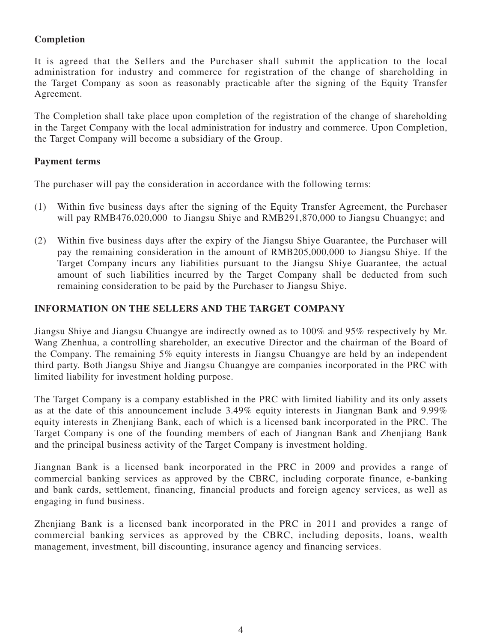# **Completion**

It is agreed that the Sellers and the Purchaser shall submit the application to the local administration for industry and commerce for registration of the change of shareholding in the Target Company as soon as reasonably practicable after the signing of the Equity Transfer Agreement.

The Completion shall take place upon completion of the registration of the change of shareholding in the Target Company with the local administration for industry and commerce. Upon Completion, the Target Company will become a subsidiary of the Group.

### **Payment terms**

The purchaser will pay the consideration in accordance with the following terms:

- (1) Within five business days after the signing of the Equity Transfer Agreement, the Purchaser will pay RMB476,020,000 to Jiangsu Shiye and RMB291,870,000 to Jiangsu Chuangye; and
- (2) Within five business days after the expiry of the Jiangsu Shiye Guarantee, the Purchaser will pay the remaining consideration in the amount of RMB205,000,000 to Jiangsu Shiye. If the Target Company incurs any liabilities pursuant to the Jiangsu Shiye Guarantee, the actual amount of such liabilities incurred by the Target Company shall be deducted from such remaining consideration to be paid by the Purchaser to Jiangsu Shiye.

# **INFORMATION ON THE SELLERS AND THE TARGET COMPANY**

Jiangsu Shiye and Jiangsu Chuangye are indirectly owned as to 100% and 95% respectively by Mr. Wang Zhenhua, a controlling shareholder, an executive Director and the chairman of the Board of the Company. The remaining 5% equity interests in Jiangsu Chuangye are held by an independent third party. Both Jiangsu Shiye and Jiangsu Chuangye are companies incorporated in the PRC with limited liability for investment holding purpose.

The Target Company is a company established in the PRC with limited liability and its only assets as at the date of this announcement include 3.49% equity interests in Jiangnan Bank and 9.99% equity interests in Zhenjiang Bank, each of which is a licensed bank incorporated in the PRC. The Target Company is one of the founding members of each of Jiangnan Bank and Zhenjiang Bank and the principal business activity of the Target Company is investment holding.

Jiangnan Bank is a licensed bank incorporated in the PRC in 2009 and provides a range of commercial banking services as approved by the CBRC, including corporate finance, e-banking and bank cards, settlement, financing, financial products and foreign agency services, as well as engaging in fund business.

Zhenjiang Bank is a licensed bank incorporated in the PRC in 2011 and provides a range of commercial banking services as approved by the CBRC, including deposits, loans, wealth management, investment, bill discounting, insurance agency and financing services.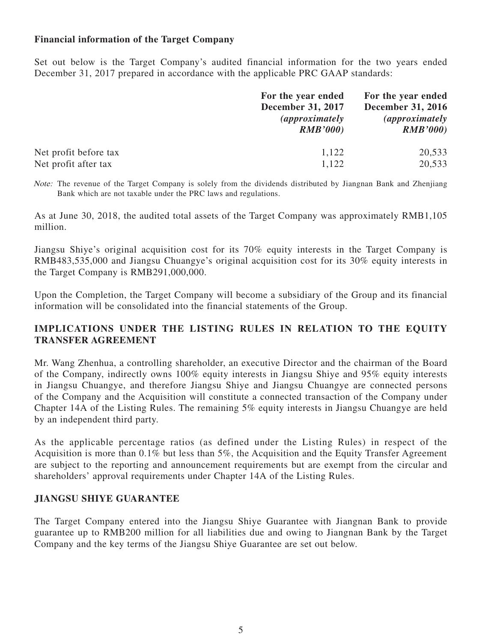### **Financial information of the Target Company**

Set out below is the Target Company's audited financial information for the two years ended December 31, 2017 prepared in accordance with the applicable PRC GAAP standards:

|                       | For the year ended<br><b>December 31, 2017</b><br><i>(approximately)</i><br>RMB'000 | For the year ended<br><b>December 31, 2016</b><br><i>(approximately)</i><br>RMB'000 |
|-----------------------|-------------------------------------------------------------------------------------|-------------------------------------------------------------------------------------|
| Net profit before tax | 1,122                                                                               | 20,533                                                                              |
| Net profit after tax  | 1,122                                                                               | 20,533                                                                              |

Note: The revenue of the Target Company is solely from the dividends distributed by Jiangnan Bank and Zhenjiang Bank which are not taxable under the PRC laws and regulations.

As at June 30, 2018, the audited total assets of the Target Company was approximately RMB1,105 million.

Jiangsu Shiye's original acquisition cost for its 70% equity interests in the Target Company is RMB483,535,000 and Jiangsu Chuangye's original acquisition cost for its 30% equity interests in the Target Company is RMB291,000,000.

Upon the Completion, the Target Company will become a subsidiary of the Group and its financial information will be consolidated into the financial statements of the Group.

### **IMPLICATIONS UNDER THE LISTING RULES IN RELATION TO THE EQUITY TRANSFER AGREEMENT**

Mr. Wang Zhenhua, a controlling shareholder, an executive Director and the chairman of the Board of the Company, indirectly owns 100% equity interests in Jiangsu Shiye and 95% equity interests in Jiangsu Chuangye, and therefore Jiangsu Shiye and Jiangsu Chuangye are connected persons of the Company and the Acquisition will constitute a connected transaction of the Company under Chapter 14A of the Listing Rules. The remaining 5% equity interests in Jiangsu Chuangye are held by an independent third party.

As the applicable percentage ratios (as defined under the Listing Rules) in respect of the Acquisition is more than 0.1% but less than 5%, the Acquisition and the Equity Transfer Agreement are subject to the reporting and announcement requirements but are exempt from the circular and shareholders' approval requirements under Chapter 14A of the Listing Rules.

#### **JIANGSU SHIYE GUARANTEE**

The Target Company entered into the Jiangsu Shiye Guarantee with Jiangnan Bank to provide guarantee up to RMB200 million for all liabilities due and owing to Jiangnan Bank by the Target Company and the key terms of the Jiangsu Shiye Guarantee are set out below.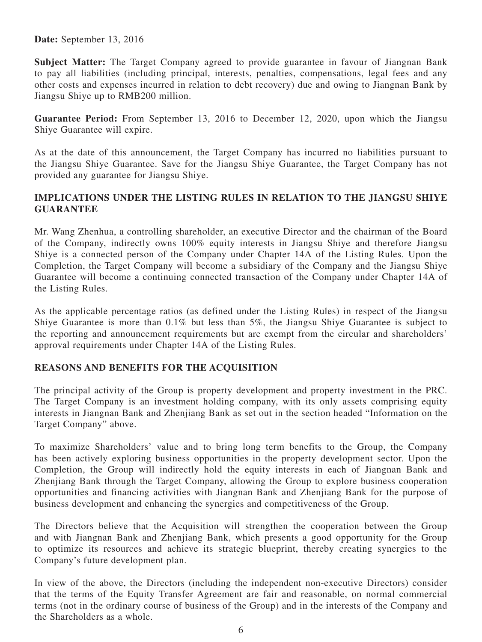**Date:** September 13, 2016

**Subject Matter:** The Target Company agreed to provide guarantee in favour of Jiangnan Bank to pay all liabilities (including principal, interests, penalties, compensations, legal fees and any other costs and expenses incurred in relation to debt recovery) due and owing to Jiangnan Bank by Jiangsu Shiye up to RMB200 million.

**Guarantee Period:** From September 13, 2016 to December 12, 2020, upon which the Jiangsu Shiye Guarantee will expire.

As at the date of this announcement, the Target Company has incurred no liabilities pursuant to the Jiangsu Shiye Guarantee. Save for the Jiangsu Shiye Guarantee, the Target Company has not provided any guarantee for Jiangsu Shiye.

## **IMPLICATIONS UNDER THE LISTING RULES IN RELATION TO THE JIANGSU SHIYE GUARANTEE**

Mr. Wang Zhenhua, a controlling shareholder, an executive Director and the chairman of the Board of the Company, indirectly owns 100% equity interests in Jiangsu Shiye and therefore Jiangsu Shiye is a connected person of the Company under Chapter 14A of the Listing Rules. Upon the Completion, the Target Company will become a subsidiary of the Company and the Jiangsu Shiye Guarantee will become a continuing connected transaction of the Company under Chapter 14A of the Listing Rules.

As the applicable percentage ratios (as defined under the Listing Rules) in respect of the Jiangsu Shiye Guarantee is more than 0.1% but less than 5%, the Jiangsu Shiye Guarantee is subject to the reporting and announcement requirements but are exempt from the circular and shareholders' approval requirements under Chapter 14A of the Listing Rules.

# **REASONS AND BENEFITS FOR THE ACQUISITION**

The principal activity of the Group is property development and property investment in the PRC. The Target Company is an investment holding company, with its only assets comprising equity interests in Jiangnan Bank and Zhenjiang Bank as set out in the section headed "Information on the Target Company" above.

To maximize Shareholders' value and to bring long term benefits to the Group, the Company has been actively exploring business opportunities in the property development sector. Upon the Completion, the Group will indirectly hold the equity interests in each of Jiangnan Bank and Zhenjiang Bank through the Target Company, allowing the Group to explore business cooperation opportunities and financing activities with Jiangnan Bank and Zhenjiang Bank for the purpose of business development and enhancing the synergies and competitiveness of the Group.

The Directors believe that the Acquisition will strengthen the cooperation between the Group and with Jiangnan Bank and Zhenjiang Bank, which presents a good opportunity for the Group to optimize its resources and achieve its strategic blueprint, thereby creating synergies to the Company's future development plan.

In view of the above, the Directors (including the independent non-executive Directors) consider that the terms of the Equity Transfer Agreement are fair and reasonable, on normal commercial terms (not in the ordinary course of business of the Group) and in the interests of the Company and the Shareholders as a whole.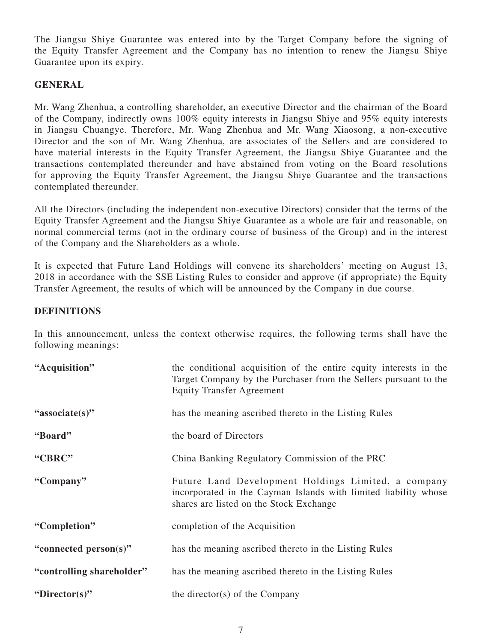The Jiangsu Shiye Guarantee was entered into by the Target Company before the signing of the Equity Transfer Agreement and the Company has no intention to renew the Jiangsu Shiye Guarantee upon its expiry.

# **GENERAL**

Mr. Wang Zhenhua, a controlling shareholder, an executive Director and the chairman of the Board of the Company, indirectly owns 100% equity interests in Jiangsu Shiye and 95% equity interests in Jiangsu Chuangye. Therefore, Mr. Wang Zhenhua and Mr. Wang Xiaosong, a non-executive Director and the son of Mr. Wang Zhenhua, are associates of the Sellers and are considered to have material interests in the Equity Transfer Agreement, the Jiangsu Shiye Guarantee and the transactions contemplated thereunder and have abstained from voting on the Board resolutions for approving the Equity Transfer Agreement, the Jiangsu Shiye Guarantee and the transactions contemplated thereunder.

All the Directors (including the independent non-executive Directors) consider that the terms of the Equity Transfer Agreement and the Jiangsu Shiye Guarantee as a whole are fair and reasonable, on normal commercial terms (not in the ordinary course of business of the Group) and in the interest of the Company and the Shareholders as a whole.

It is expected that Future Land Holdings will convene its shareholders' meeting on August 13, 2018 in accordance with the SSE Listing Rules to consider and approve (if appropriate) the Equity Transfer Agreement, the results of which will be announced by the Company in due course.

# **DEFINITIONS**

In this announcement, unless the context otherwise requires, the following terms shall have the following meanings:

| "Acquisition"             | the conditional acquisition of the entire equity interests in the<br>Target Company by the Purchaser from the Sellers pursuant to the<br><b>Equity Transfer Agreement</b> |
|---------------------------|---------------------------------------------------------------------------------------------------------------------------------------------------------------------------|
| "associate(s)"            | has the meaning ascribed thereto in the Listing Rules                                                                                                                     |
| "Board"                   | the board of Directors                                                                                                                                                    |
| "CBRC"                    | China Banking Regulatory Commission of the PRC                                                                                                                            |
| "Company"                 | Future Land Development Holdings Limited, a company<br>incorporated in the Cayman Islands with limited liability whose<br>shares are listed on the Stock Exchange         |
| "Completion"              | completion of the Acquisition                                                                                                                                             |
| "connected person(s)"     | has the meaning ascribed thereto in the Listing Rules                                                                                                                     |
| "controlling shareholder" | has the meaning ascribed thereto in the Listing Rules                                                                                                                     |
| "Director(s)"             | the director(s) of the Company                                                                                                                                            |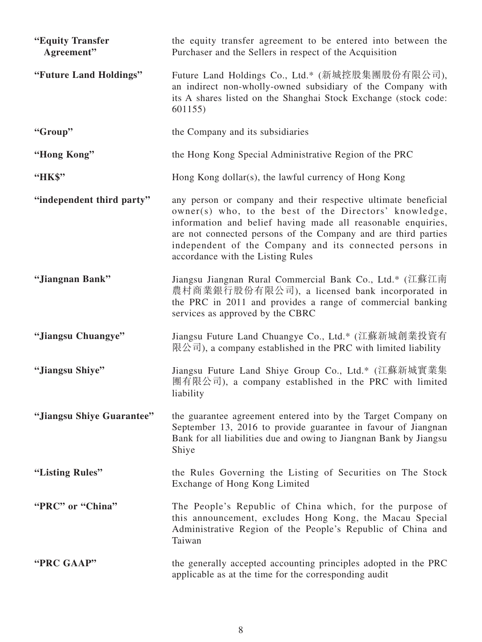| "Equity Transfer<br>Agreement" | the equity transfer agreement to be entered into between the<br>Purchaser and the Sellers in respect of the Acquisition                                                                                                                                                                                                                                    |
|--------------------------------|------------------------------------------------------------------------------------------------------------------------------------------------------------------------------------------------------------------------------------------------------------------------------------------------------------------------------------------------------------|
| "Future Land Holdings"         | Future Land Holdings Co., Ltd.* (新城控股集團股份有限公司),<br>an indirect non-wholly-owned subsidiary of the Company with<br>its A shares listed on the Shanghai Stock Exchange (stock code:<br>601155)                                                                                                                                                               |
| "Group"                        | the Company and its subsidiaries                                                                                                                                                                                                                                                                                                                           |
| "Hong Kong"                    | the Hong Kong Special Administrative Region of the PRC                                                                                                                                                                                                                                                                                                     |
| "НК\$"                         | Hong Kong dollar(s), the lawful currency of Hong Kong                                                                                                                                                                                                                                                                                                      |
| "independent third party"      | any person or company and their respective ultimate beneficial<br>owner(s) who, to the best of the Directors' knowledge,<br>information and belief having made all reasonable enquiries,<br>are not connected persons of the Company and are third parties<br>independent of the Company and its connected persons in<br>accordance with the Listing Rules |
| "Jiangnan Bank"                | Jiangsu Jiangnan Rural Commercial Bank Co., Ltd.* (江蘇江南<br>農村商業銀行股份有限公司), a licensed bank incorporated in<br>the PRC in 2011 and provides a range of commercial banking<br>services as approved by the CBRC                                                                                                                                                |
| "Jiangsu Chuangye"             | Jiangsu Future Land Chuangye Co., Ltd.* (江蘇新城創業投資有<br>限公司), a company established in the PRC with limited liability                                                                                                                                                                                                                                        |
| "Jiangsu Shiye"                | Jiangsu Future Land Shiye Group Co., Ltd.* (江蘇新城實業集<br>團有限公司), a company established in the PRC with limited<br>liability                                                                                                                                                                                                                                  |
| "Jiangsu Shiye Guarantee"      | the guarantee agreement entered into by the Target Company on<br>September 13, 2016 to provide guarantee in favour of Jiangnan<br>Bank for all liabilities due and owing to Jiangnan Bank by Jiangsu<br>Shiye                                                                                                                                              |
| "Listing Rules"                | the Rules Governing the Listing of Securities on The Stock<br>Exchange of Hong Kong Limited                                                                                                                                                                                                                                                                |
| "PRC" or "China"               | The People's Republic of China which, for the purpose of<br>this announcement, excludes Hong Kong, the Macau Special<br>Administrative Region of the People's Republic of China and<br>Taiwan                                                                                                                                                              |
| "PRC GAAP"                     | the generally accepted accounting principles adopted in the PRC<br>applicable as at the time for the corresponding audit                                                                                                                                                                                                                                   |